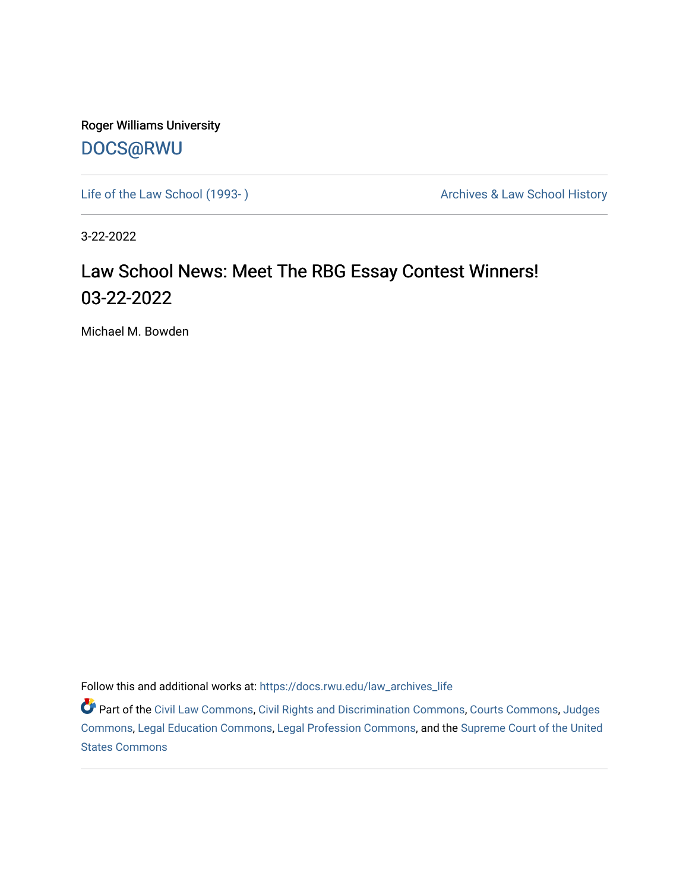Roger Williams University [DOCS@RWU](https://docs.rwu.edu/)

Life of the Law School (1993-) <br>
Archives & Law School History

3-22-2022

### Law School News: Meet The RBG Essay Contest Winners! 03-22-2022

Michael M. Bowden

Follow this and additional works at: [https://docs.rwu.edu/law\\_archives\\_life](https://docs.rwu.edu/law_archives_life?utm_source=docs.rwu.edu%2Flaw_archives_life%2F775&utm_medium=PDF&utm_campaign=PDFCoverPages)

**P** Part of the [Civil Law Commons](http://network.bepress.com/hgg/discipline/835?utm_source=docs.rwu.edu%2Flaw_archives_life%2F775&utm_medium=PDF&utm_campaign=PDFCoverPages), [Civil Rights and Discrimination Commons](http://network.bepress.com/hgg/discipline/585?utm_source=docs.rwu.edu%2Flaw_archives_life%2F775&utm_medium=PDF&utm_campaign=PDFCoverPages), [Courts Commons](http://network.bepress.com/hgg/discipline/839?utm_source=docs.rwu.edu%2Flaw_archives_life%2F775&utm_medium=PDF&utm_campaign=PDFCoverPages), [Judges](http://network.bepress.com/hgg/discipline/849?utm_source=docs.rwu.edu%2Flaw_archives_life%2F775&utm_medium=PDF&utm_campaign=PDFCoverPages) [Commons](http://network.bepress.com/hgg/discipline/849?utm_source=docs.rwu.edu%2Flaw_archives_life%2F775&utm_medium=PDF&utm_campaign=PDFCoverPages), [Legal Education Commons](http://network.bepress.com/hgg/discipline/857?utm_source=docs.rwu.edu%2Flaw_archives_life%2F775&utm_medium=PDF&utm_campaign=PDFCoverPages), [Legal Profession Commons,](http://network.bepress.com/hgg/discipline/1075?utm_source=docs.rwu.edu%2Flaw_archives_life%2F775&utm_medium=PDF&utm_campaign=PDFCoverPages) and the [Supreme Court of the United](http://network.bepress.com/hgg/discipline/1350?utm_source=docs.rwu.edu%2Flaw_archives_life%2F775&utm_medium=PDF&utm_campaign=PDFCoverPages)  [States Commons](http://network.bepress.com/hgg/discipline/1350?utm_source=docs.rwu.edu%2Flaw_archives_life%2F775&utm_medium=PDF&utm_campaign=PDFCoverPages)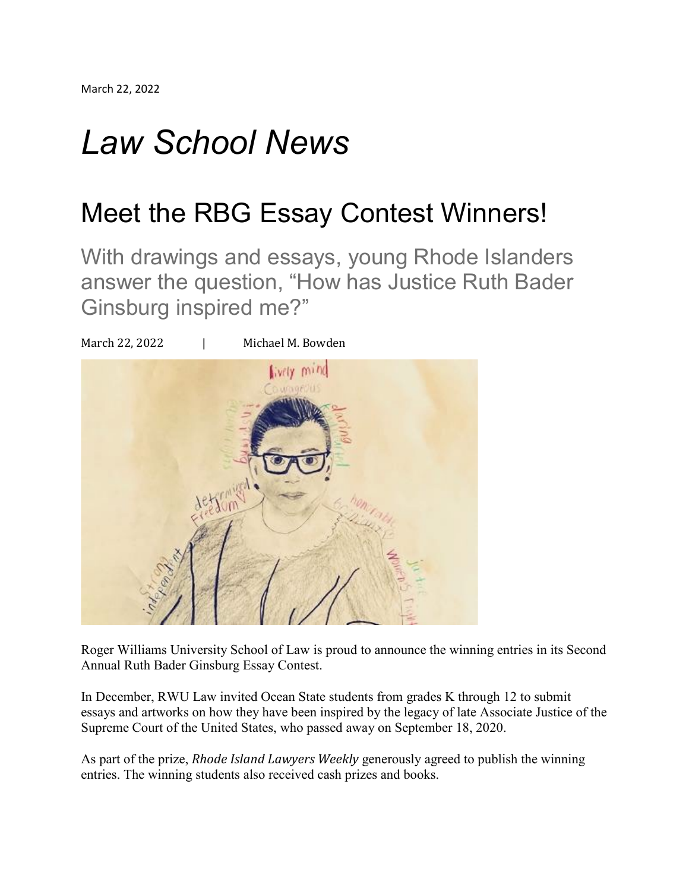# *Law School News*

## Meet the RBG Essay Contest Winners!

With drawings and essays, young Rhode Islanders answer the question, "How has Justice Ruth Bader Ginsburg inspired me?"



Roger Williams University School of Law is proud to announce the winning entries in its Second Annual Ruth Bader Ginsburg Essay Contest.

In December, RWU Law invited Ocean State students from grades K through 12 to submit essays and artworks on how they have been inspired by the legacy of late Associate Justice of the Supreme Court of the United States, who passed away on September 18, 2020.

As part of the prize, *Rhode Island Lawyers Weekly* generously agreed to publish the winning entries. The winning students also received cash prizes and books.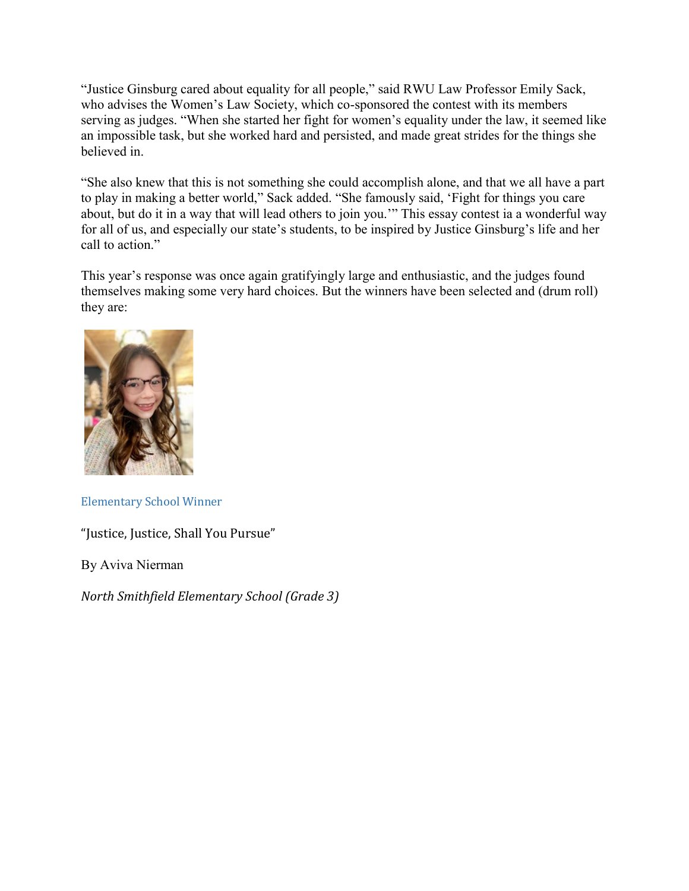"Justice Ginsburg cared about equality for all people," said RWU Law Professor Emily Sack, who advises the Women's Law Society, which co-sponsored the contest with its members serving as judges. "When she started her fight for women's equality under the law, it seemed like an impossible task, but she worked hard and persisted, and made great strides for the things she believed in.

"She also knew that this is not something she could accomplish alone, and that we all have a part to play in making a better world," Sack added. "She famously said, 'Fight for things you care about, but do it in a way that will lead others to join you.'" This essay contest ia a wonderful way for all of us, and especially our state's students, to be inspired by Justice Ginsburg's life and her call to action."

This year's response was once again gratifyingly large and enthusiastic, and the judges found themselves making some very hard choices. But the winners have been selected and (drum roll) they are:



Elementary School Winner

"Justice, Justice, Shall You Pursue"

By Aviva Nierman

*North Smithfield Elementary School (Grade 3)*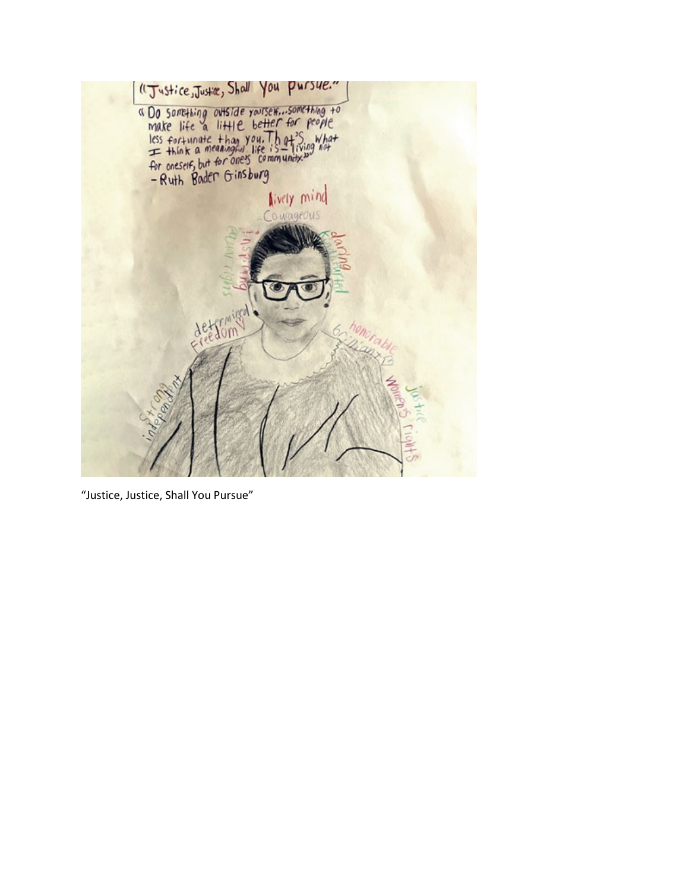

"Justice, Justice, Shall You Pursue"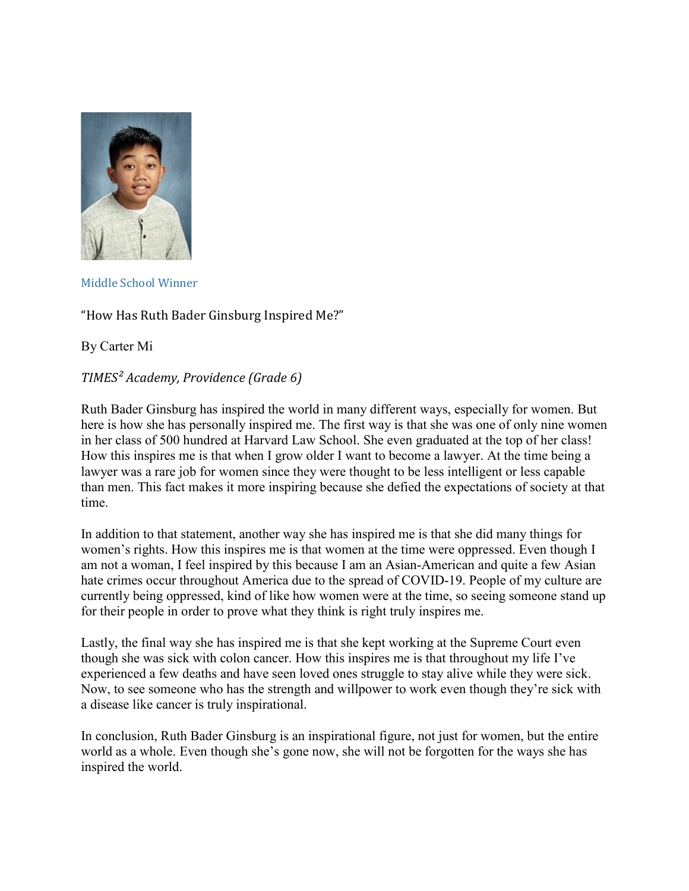

#### Middle School Winner

#### "How Has Ruth Bader Ginsburg Inspired Me?"

By Carter Mi

#### *TIMES² Academy, Providence (Grade 6)*

Ruth Bader Ginsburg has inspired the world in many different ways, especially for women. But here is how she has personally inspired me. The first way is that she was one of only nine women in her class of 500 hundred at Harvard Law School. She even graduated at the top of her class! How this inspires me is that when I grow older I want to become a lawyer. At the time being a lawyer was a rare job for women since they were thought to be less intelligent or less capable than men. This fact makes it more inspiring because she defied the expectations of society at that time.

In addition to that statement, another way she has inspired me is that she did many things for women's rights. How this inspires me is that women at the time were oppressed. Even though I am not a woman, I feel inspired by this because I am an Asian-American and quite a few Asian hate crimes occur throughout America due to the spread of COVID-19. People of my culture are currently being oppressed, kind of like how women were at the time, so seeing someone stand up for their people in order to prove what they think is right truly inspires me.

Lastly, the final way she has inspired me is that she kept working at the Supreme Court even though she was sick with colon cancer. How this inspires me is that throughout my life I've experienced a few deaths and have seen loved ones struggle to stay alive while they were sick. Now, to see someone who has the strength and willpower to work even though they're sick with a disease like cancer is truly inspirational.

In conclusion, Ruth Bader Ginsburg is an inspirational figure, not just for women, but the entire world as a whole. Even though she's gone now, she will not be forgotten for the ways she has inspired the world.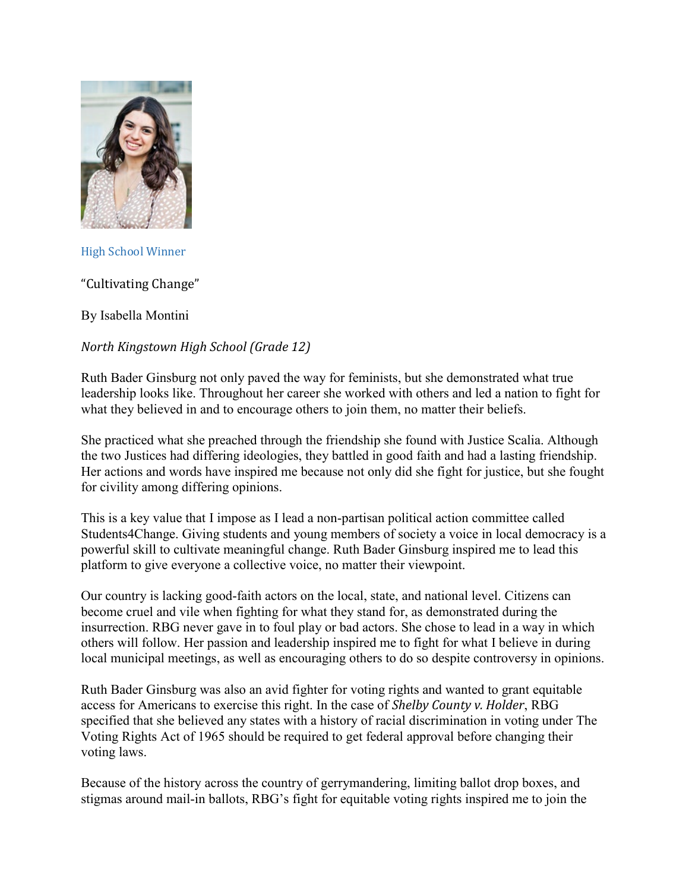

High School Winner

"Cultivating Change"

By Isabella Montini

#### *North Kingstown High School (Grade 12)*

Ruth Bader Ginsburg not only paved the way for feminists, but she demonstrated what true leadership looks like. Throughout her career she worked with others and led a nation to fight for what they believed in and to encourage others to join them, no matter their beliefs.

She practiced what she preached through the friendship she found with Justice Scalia. Although the two Justices had differing ideologies, they battled in good faith and had a lasting friendship. Her actions and words have inspired me because not only did she fight for justice, but she fought for civility among differing opinions.

This is a key value that I impose as I lead a non-partisan political action committee called Students4Change. Giving students and young members of society a voice in local democracy is a powerful skill to cultivate meaningful change. Ruth Bader Ginsburg inspired me to lead this platform to give everyone a collective voice, no matter their viewpoint.

Our country is lacking good-faith actors on the local, state, and national level. Citizens can become cruel and vile when fighting for what they stand for, as demonstrated during the insurrection. RBG never gave in to foul play or bad actors. She chose to lead in a way in which others will follow. Her passion and leadership inspired me to fight for what I believe in during local municipal meetings, as well as encouraging others to do so despite controversy in opinions.

Ruth Bader Ginsburg was also an avid fighter for voting rights and wanted to grant equitable access for Americans to exercise this right. In the case of *Shelby County v. Holder*, RBG specified that she believed any states with a history of racial discrimination in voting under The Voting Rights Act of 1965 should be required to get federal approval before changing their voting laws.

Because of the history across the country of gerrymandering, limiting ballot drop boxes, and stigmas around mail-in ballots, RBG's fight for equitable voting rights inspired me to join the